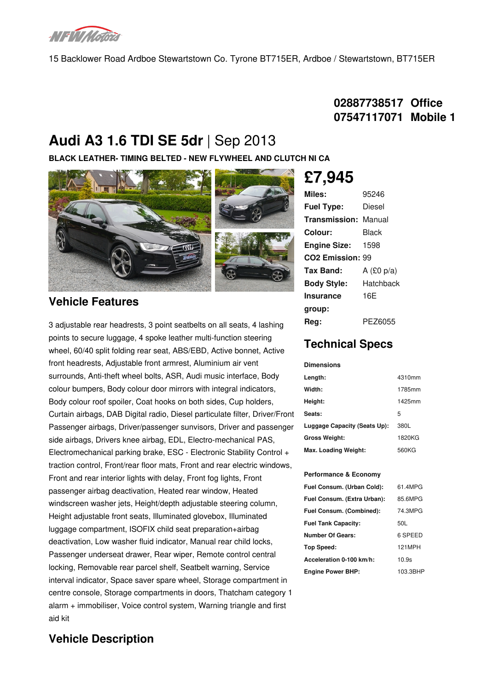

15 Backlower Road Ardboe Stewartstown Co. Tyrone BT715ER, Ardboe / Stewartstown, BT715ER

## **02887738517 Office 07547117071 Mobile 1**

# **Audi A3 1.6 TDI SE 5dr** |Sep 2013

**BLACK LEATHER- TIMING BELTED - NEW FLYWHEEL AND CLUTCH NI CA**



### **Vehicle Features**

3 adjustable rear headrests, 3 point seatbelts on all seats, 4 lashing points to secure luggage, 4 spoke leather multi-function steering wheel, 60/40 split folding rear seat, ABS/EBD, Active bonnet, Active front headrests, Adjustable front armrest, Aluminium air vent surrounds, Anti-theft wheel bolts, ASR, Audi music interface, Body colour bumpers, Body colour door mirrors with integral indicators, Body colour roof spoiler, Coat hooks on both sides, Cup holders, Curtain airbags, DAB Digital radio, Diesel particulate filter, Driver/Front Passenger airbags, Driver/passenger sunvisors, Driver and passenger side airbags, Drivers knee airbag, EDL, Electro-mechanical PAS, Electromechanical parking brake, ESC - Electronic Stability Control + traction control, Front/rear floor mats, Front and rear electric windows, Front and rear interior lights with delay, Front fog lights, Front passenger airbag deactivation, Heated rear window, Heated windscreen washer jets, Height/depth adjustable steering column, Height adjustable front seats, Illuminated glovebox, Illuminated luggage compartment, ISOFIX child seat preparation+airbag deactivation, Low washer fluid indicator, Manual rear child locks, Passenger underseat drawer, Rear wiper, Remote control central locking, Removable rear parcel shelf, Seatbelt warning, Service interval indicator, Space saver spare wheel, Storage compartment in centre console, Storage compartments in doors, Thatcham category 1 alarm + immobiliser, Voice control system, Warning triangle and first aid kit

## **£7,945**

| Miles:                       | 95246        |  |
|------------------------------|--------------|--|
| <b>Fuel Type:</b>            | Diesel       |  |
| <b>Transmission: Manual</b>  |              |  |
| Colour:                      | Black        |  |
| <b>Engine Size:</b>          | 1598         |  |
| CO <sub>2</sub> Emission: 99 |              |  |
| Tax Band:                    | A $(£0 p/a)$ |  |
| <b>Body Style:</b>           | Hatchback    |  |
| Insurance                    | 16F          |  |
| group:                       |              |  |
| Rea:                         | PF76055      |  |

## **Technical Specs**

#### **Dimensions**

| Length:                      | 4310mm |
|------------------------------|--------|
| Width:                       | 1785mm |
| Height:                      | 1425mm |
| Seats:                       | 5      |
| Luggage Capacity (Seats Up): | 380L   |
| <b>Gross Weight:</b>         | 1820KG |
| Max. Loading Weight:         | 560KG  |

#### **Performance & Economy**

| Fuel Consum. (Urban Cold):  | 61.4MPG  |
|-----------------------------|----------|
| Fuel Consum. (Extra Urban): | 85.6MPG  |
| Fuel Consum. (Combined):    | 74.3MPG  |
| <b>Fuel Tank Capacity:</b>  | 50L      |
| <b>Number Of Gears:</b>     | 6 SPEED  |
| Top Speed:                  | 121MPH   |
| Acceleration 0-100 km/h:    | 10.9s    |
| <b>Engine Power BHP:</b>    | 103.3BHP |
|                             |          |

## **Vehicle Description**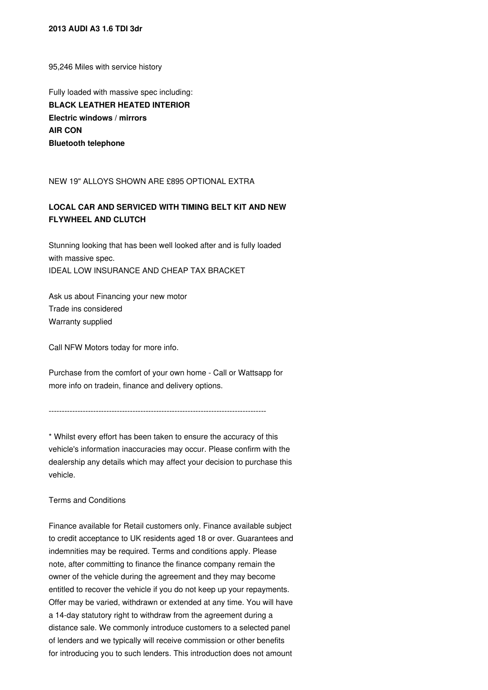#### **2013 AUDI A3 1.6 TDI 3dr**

95,246 Miles with service history

Fully loaded with massive spec including: **BLACK LEATHER HEATED INTERIOR Electric windows / mirrors AIR CON Bluetooth telephone**

NEW 19" ALLOYS SHOWN ARE £895 OPTIONAL EXTRA

### **LOCAL CAR AND SERVICED WITH TIMING BELT KIT AND NEW FLYWHEEL AND CLUTCH**

Stunning looking that has been well looked after and is fully loaded with massive spec. IDEAL LOW INSURANCE AND CHEAP TAX BRACKET

Ask us about Financing your new motor Trade ins considered Warranty supplied

Call NFW Motors today for more info.

Purchase from the comfort of your own home - Call or Wattsapp for more info on tradein, finance and delivery options.

-----------------------------------------------------------------------------------

\* Whilst every effort has been taken to ensure the accuracy of this vehicle's information inaccuracies may occur. Please confirm with the dealership any details which may affect your decision to purchase this vehicle.

Terms and Conditions

Finance available for Retail customers only. Finance available subject to credit acceptance to UK residents aged 18 or over. Guarantees and indemnities may be required. Terms and conditions apply. Please note, after committing to finance the finance company remain the owner of the vehicle during the agreement and they may become entitled to recover the vehicle if you do not keep up your repayments. Offer may be varied, withdrawn or extended at any time. You will have a 14-day statutory right to withdraw from the agreement during a distance sale. We commonly introduce customers to a selected panel of lenders and we typically will receive commission or other benefits for introducing you to such lenders. This introduction does not amount